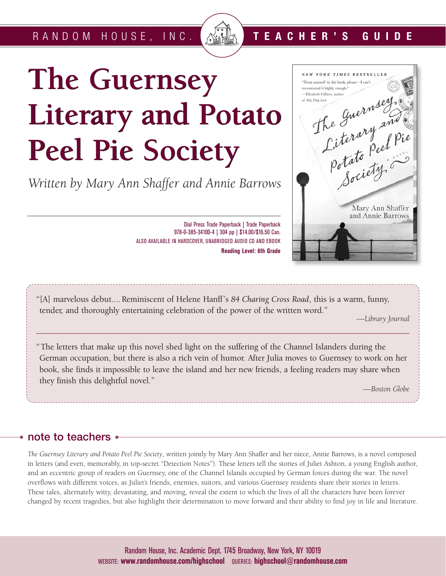RANDOM HOUSE, INC.

# **The Guernsey The Guernsey Literary and Potato Peel Pie Society Peel Pie Society**

*Written by Mary Ann Shaffer and Annie Barrows* 



**TEACHER'S GUIDE**

"[A] marvelous debut.... Reminiscent of Helene Hanff's *84 Charing Cross Road*, this is a warm, funny, tender, and thoroughly entertaining celebration of the power of the written word."

ALSO AVAILABLE IN HARDCOVER, UNABRIDGED AUDIO CD AND EBOOK

Dial Press Trade Paperback | Trade Paperback 978-0-385-34100-4 | 304 pp | \$14.00/\$16.50 Can.

**Reading Level: 6th Grade**

*—Library Journal*

"The letters that make up this novel shed light on the suffering of the Channel Islanders during the German occupation, but there is also a rich vein of humor. After Julia moves to Guernsey to work on her book, she finds it impossible to leave the island and her new friends, a feeling readers may share when they finish this delightful novel."

*—Boston Globe*

# **note to teachers**

*The Guernsey Literary and Potato Peel Pie Society*, written jointly by Mary Ann Shaffer and her niece, Annie Barrows, is a novel composed in letters (and even, memorably, in top-secret "Detection Notes"). These letters tell the stories of Juliet Ashton, a young English author, and an eccentric group of readers on Guernsey, one of the Channel Islands occupied by German forces during the war. The novel overflows with different voices, as Juliet's friends, enemies, suitors, and various Guernsey residents share their stories in letters. These tales, alternately witty, devastating, and moving, reveal the extent to which the lives of all the characters have been forever changed by recent tragedies, but also highlight their determination to move forward and their ability to find joy in life and literature.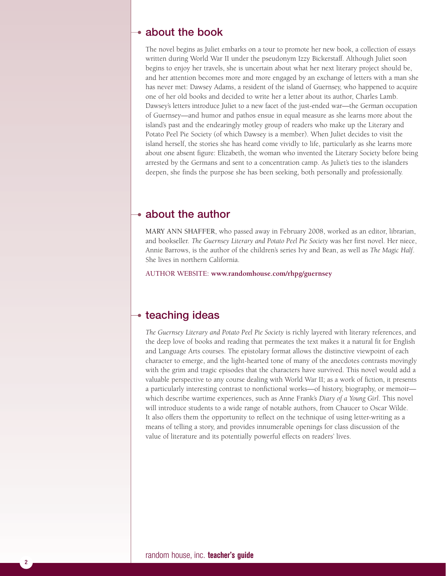## **about the book**

The novel begins as Juliet embarks on a tour to promote her new book, a collection of essays written during World War II under the pseudonym Izzy Bickerstaff. Although Juliet soon begins to enjoy her travels, she is uncertain about what her next literary project should be, and her attention becomes more and more engaged by an exchange of letters with a man she has never met: Dawsey Adams, a resident of the island of Guernsey, who happened to acquire one of her old books and decided to write her a letter about its author, Charles Lamb. Dawsey's letters introduce Juliet to a new facet of the just-ended war—the German occupation of Guernsey—and humor and pathos ensue in equal measure as she learns more about the island's past and the endearingly motley group of readers who make up the Literary and Potato Peel Pie Society (of which Dawsey is a member). When Juliet decides to visit the island herself, the stories she has heard come vividly to life, particularly as she learns more about one absent figure: Elizabeth, the woman who invented the Literary Society before being arrested by the Germans and sent to a concentration camp. As Juliet's ties to the islanders deepen, she finds the purpose she has been seeking, both personally and professionally.

## **about the author**

MARY ANN SHAFFER, who passed away in February 2008, worked as an editor, librarian, and bookseller. *The Guernsey Literary and Potato Peel Pie Society* was her first novel. Her niece, Annie Barrows, is the author of the children's series Ivy and Bean, as well as *The Magic Half*. She lives in northern California.

AUTHOR WEBSITE: **www.randomhouse.com/rhpg/guernsey**

# **teaching ideas**

*The Guernsey Literary and Potato Peel Pie Society* is richly layered with literary references, and the deep love of books and reading that permeates the text makes it a natural fit for English and Language Arts courses. The epistolary format allows the distinctive viewpoint of each character to emerge, and the light-hearted tone of many of the anecdotes contrasts movingly with the grim and tragic episodes that the characters have survived. This novel would add a valuable perspective to any course dealing with World War II; as a work of fiction, it presents a particularly interesting contrast to nonfictional works—of history, biography, or memoir which describe wartime experiences, such as Anne Frank's *Diary of a Young Girl*. This novel will introduce students to a wide range of notable authors, from Chaucer to Oscar Wilde. It also offers them the opportunity to reflect on the technique of using letter-writing as a means of telling a story, and provides innumerable openings for class discussion of the value of literature and its potentially powerful effects on readers' lives.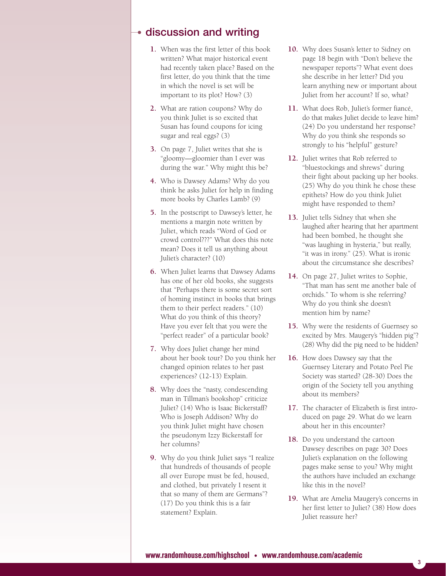## **discussion and writing**

- **1.** When was the first letter of this book written? What major historical event had recently taken place? Based on the first letter, do you think that the time in which the novel is set will be important to its plot? How? (3)
- **2.** What are ration coupons? Why do you think Juliet is so excited that Susan has found coupons for icing sugar and real eggs? (3)
- **3.** On page 7, Juliet writes that she is "gloomy—gloomier than I ever was during the war." Why might this be?
- **4.** Who is Dawsey Adams? Why do you think he asks Juliet for help in finding more books by Charles Lamb? (9)
- **5.** In the postscript to Dawsey's letter, he mentions a margin note written by Juliet, which reads "Word of God or crowd control???" What does this note mean? Does it tell us anything about Juliet's character? (10)
- **6.** When Juliet learns that Dawsey Adams has one of her old books, she suggests that "Perhaps there is some secret sort of homing instinct in books that brings them to their perfect readers." (10) What do you think of this theory? Have you ever felt that you were the "perfect reader" of a particular book?
- **7.** Why does Juliet change her mind about her book tour? Do you think her changed opinion relates to her past experiences? (12-13) Explain.
- **8.** Why does the "nasty, condescending man in Tillman's bookshop" criticize Juliet? (14) Who is Isaac Bickerstaff? Who is Joseph Addison? Why do you think Juliet might have chosen the pseudonym Izzy Bickerstaff for her columns?
- **9.** Why do you think Juliet says "I realize that hundreds of thousands of people all over Europe must be fed, housed, and clothed, but privately I resent it that so many of them are Germans"? (17) Do you think this is a fair statement? Explain.
- **10.** Why does Susan's letter to Sidney on page 18 begin with "Don't believe the newspaper reports"? What event does she describe in her letter? Did you learn anything new or important about Juliet from her account? If so, what?
- **11.** What does Rob, Juliet's former fiancé, do that makes Juliet decide to leave him? (24) Do you understand her response? Why do you think she responds so strongly to his "helpful" gesture?
- **12.** Juliet writes that Rob referred to "bluestockings and shrews" during their fight about packing up her books. (25) Why do you think he chose these epithets? How do you think Juliet might have responded to them?
- **13.** Juliet tells Sidney that when she laughed after hearing that her apartment had been bombed, he thought she "was laughing in hysteria," but really, "it was in irony." (25). What is ironic about the circumstance she describes?
- **14.** On page 27, Juliet writes to Sophie, "That man has sent me another bale of orchids." To whom is she referring? Why do you think she doesn't mention him by name?
- **15.** Why were the residents of Guernsey so excited by Mrs. Maugery's "hidden pig"? (28) Why did the pig need to be hidden?
- **16.** How does Dawsey say that the Guernsey Literary and Potato Peel Pie Society was started? (28-30) Does the origin of the Society tell you anything about its members?
- **17.** The character of Elizabeth is first introduced on page 29. What do we learn about her in this encounter?
- **18.** Do you understand the cartoon Dawsey describes on page 30? Does Juliet's explanation on the following pages make sense to you? Why might the authors have included an exchange like this in the novel?
- **19.** What are Amelia Maugery's concerns in her first letter to Juliet? (38) How does Juliet reassure her?

3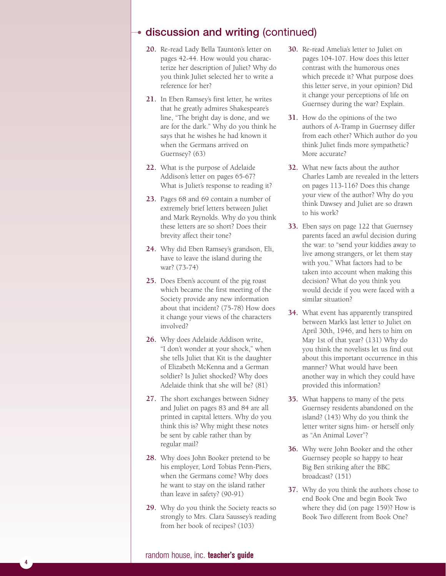# **discussion and writing** (continued)

- **20.** Re-read Lady Bella Taunton's letter on pages 42-44. How would you characterize her description of Juliet? Why do you think Juliet selected her to write a reference for her?
- **21.** In Eben Ramsey's first letter, he writes that he greatly admires Shakespeare's line, "The bright day is done, and we are for the dark." Why do you think he says that he wishes he had known it when the Germans arrived on Guernsey? (63)
- **22.** What is the purpose of Adelaide Addison's letter on pages 65-67? What is Juliet's response to reading it?
- **23.** Pages 68 and 69 contain a number of extremely brief letters between Juliet and Mark Reynolds. Why do you think these letters are so short? Does their brevity affect their tone?
- **24.** Why did Eben Ramsey's grandson, Eli, have to leave the island during the war? (73-74)
- **25.** Does Eben's account of the pig roast which became the first meeting of the Society provide any new information about that incident? (75-78) How does it change your views of the characters involved?
- **26.** Why does Adelaide Addison write, "I don't wonder at your shock," when she tells Juliet that Kit is the daughter of Elizabeth McKenna and a German soldier? Is Juliet shocked? Why does Adelaide think that she will be? (81)
- **27.** The short exchanges between Sidney and Juliet on pages 83 and 84 are all printed in capital letters. Why do you think this is? Why might these notes be sent by cable rather than by regular mail?
- **28.** Why does John Booker pretend to be his employer, Lord Tobias Penn-Piers, when the Germans come? Why does he want to stay on the island rather than leave in safety? (90-91)
- **29.** Why do you think the Society reacts so strongly to Mrs. Clara Saussey's reading from her book of recipes? (103)
- **30.** Re-read Amelia's letter to Juliet on pages 104-107. How does this letter contrast with the humorous ones which precede it? What purpose does this letter serve, in your opinion? Did it change your perceptions of life on Guernsey during the war? Explain.
- **31.** How do the opinions of the two authors of A-Tramp in Guernsey differ from each other? Which author do you think Juliet finds more sympathetic? More accurate?
- **32.** What new facts about the author Charles Lamb are revealed in the letters on pages 113-116? Does this change your view of the author? Why do you think Dawsey and Juliet are so drawn to his work?
- **33.** Eben says on page 122 that Guernsey parents faced an awful decision during the war: to "send your kiddies away to live among strangers, or let them stay with you." What factors had to be taken into account when making this decision? What do you think you would decide if you were faced with a similar situation?
- **34.** What event has apparently transpired between Mark's last letter to Juliet on April 30th, 1946, and hers to him on May 1st of that year? (131) Why do you think the novelists let us find out about this important occurrence in this manner? What would have been another way in which they could have provided this information?
- **35.** What happens to many of the pets Guernsey residents abandoned on the island? (143) Why do you think the letter writer signs him- or herself only as "An Animal Lover"?
- **36.** Why were John Booker and the other Guernsey people so happy to hear Big Ben striking after the BBC broadcast? (151)
- **37.** Why do you think the authors chose to end Book One and begin Book Two where they did (on page 159)? How is Book Two different from Book One?

#### random house, inc. **teacher's guide**

4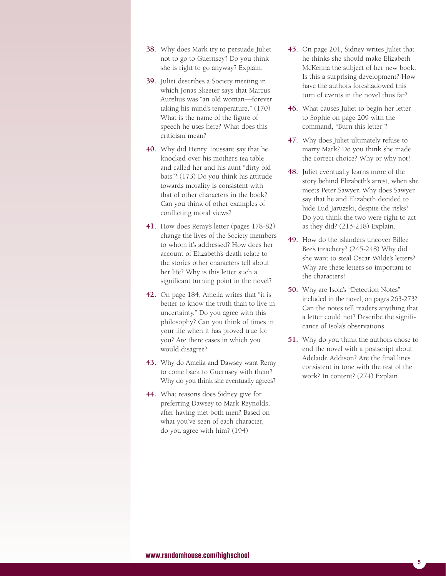- **38.** Why does Mark try to persuade Juliet not to go to Guernsey? Do you think she is right to go anyway? Explain.
- **39.** Juliet describes a Society meeting in which Jonas Skeeter says that Marcus Aurelius was "an old woman—forever taking his mind's temperature." (170) What is the name of the figure of speech he uses here? What does this criticism mean?
- **40.** Why did Henry Toussant say that he knocked over his mother's tea table and called her and his aunt "dirty old bats"? (173) Do you think his attitude towards morality is consistent with that of other characters in the book? Can you think of other examples of conflicting moral views?
- **41.** How does Remy's letter (pages 178-82) change the lives of the Society members to whom it's addressed? How does her account of Elizabeth's death relate to the stories other characters tell about her life? Why is this letter such a significant turning point in the novel?
- **42.** On page 184, Amelia writes that "it is better to know the truth than to live in uncertainty." Do you agree with this philosophy? Can you think of times in your life when it has proved true for you? Are there cases in which you would disagree?
- **43.** Why do Amelia and Dawsey want Remy to come back to Guernsey with them? Why do you think she eventually agrees?
- **44.** What reasons does Sidney give for preferring Dawsey to Mark Reynolds, after having met both men? Based on what you've seen of each character, do you agree with him? (194)
- **45.** On page 201, Sidney writes Juliet that he thinks she should make Elizabeth McKenna the subject of her new book. Is this a surprising development? How have the authors foreshadowed this turn of events in the novel thus far?
- **46.** What causes Juliet to begin her letter to Sophie on page 209 with the command, "Burn this letter"?
- **47.** Why does Juliet ultimately refuse to marry Mark? Do you think she made the correct choice? Why or why not?
- **48.** Juliet eventually learns more of the story behind Elizabeth's arrest, when she meets Peter Sawyer. Why does Sawyer say that he and Elizabeth decided to hide Lud Jaruzski, despite the risks? Do you think the two were right to act as they did? (215-218) Explain.
- **49.** How do the islanders uncover Billee Bee's treachery? (245-248) Why did she want to steal Oscar Wilde's letters? Why are these letters so important to the characters?
- **50.** Why are Isola's "Detection Notes" included in the novel, on pages 263-273? Can the notes tell readers anything that a letter could not? Describe the significance of Isola's observations.
- **51.** Why do you think the authors chose to end the novel with a postscript about Adelaide Addison? Are the final lines consistent in tone with the rest of the work? In content? (274) Explain.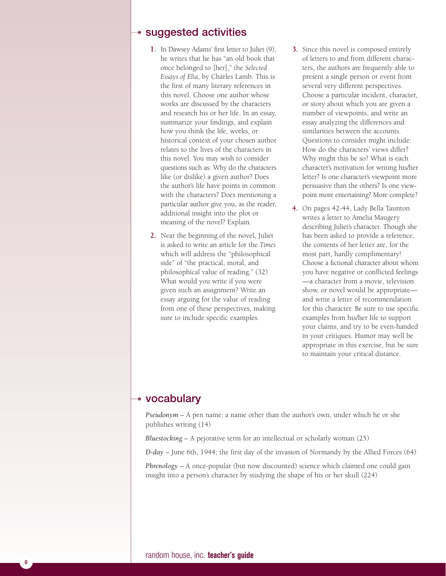## **suggested activities**

- **1.** In Dawsey Adams' first letter to Juliet (9), he writes that he has "an old book that once belonged to [her]," the *Selected Essays of Elia*, by Charles Lamb. This is the first of many literary references in this novel. Choose one author whose works are discussed by the characters and research his or her life. In an essay, summarize your findings, and explain how you think the life, works, or historical context of your chosen author relates to the lives of the characters in this novel. You may wish to consider questions such as: Why do the characters like (or dislike) a given author? Does the author's life have points in common with the characters? Does mentioning a particular author give you, as the reader, additional insight into the plot or meaning of the novel? Explain.
- **2.** Near the beginning of the novel, Juliet is asked to write an article for the *Times* which will address the "philosophical side" of "the practical, moral, and philosophical value of reading." (32) What would you write if you were given such an assignment? Write an essay arguing for the value of reading from one of these perspectives, making sure to include specific examples.
- **3.** Since this novel is composed entirely of letters to and from different characters, the authors are frequently able to present a single person or event from several very different perspectives. Choose a particular incident, character, or story about which you are given a number of viewpoints, and write an essay analyzing the differences and similarities between the accounts. Questions to consider might include: How do the characters' views differ? Why might this be so? What is each character's motivation for writing his/her letter? Is one character's viewpoint more persuasive than the others? Is one viewpoint more entertaining? More complete?
- **4.** On pages 42-44, Lady Bella Taunton writes a letter to Amelia Maugery describing Juliet's character. Though she has been asked to provide a reference, the contents of her letter are, for the most part, hardly complimentary! Choose a fictional character about whom you have negative or conflicted feelings —a character from a movie, television show, or novel would be appropriate and write a letter of recommendation for this character. Be sure to use specific examples from his/her life to support your claims, and try to be even-handed in your critiques. Humor may well be appropriate in this exercise, but be sure to maintain your critical distance.

# **vocabulary**

*Pseudonym* – A pen name; a name other than the author's own, under which he or she publishes writing (14)

*Bluestocking* – A pejorative term for an intellectual or scholarly woman (25)

*D-day* – June 6th, 1944; the first day of the invasion of Normandy by the Allied Forces (64)

*Phrenology* – A once-popular (but now discounted) science which claimed one could gain insight into a person's character by studying the shape of his or her skull (224)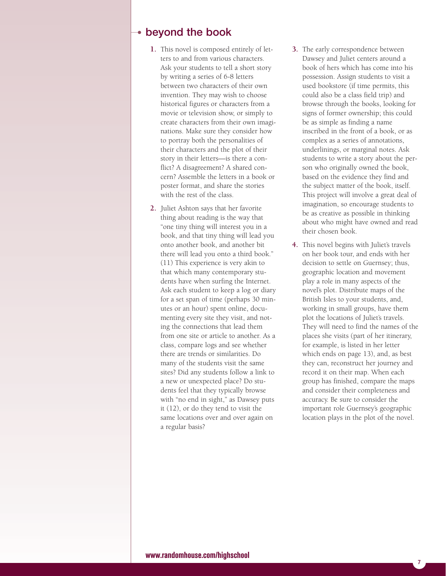## **beyond the book**

- **1.** This novel is composed entirely of letters to and from various characters. Ask your students to tell a short story by writing a series of 6-8 letters between two characters of their own invention. They may wish to choose historical figures or characters from a movie or television show, or simply to create characters from their own imaginations. Make sure they consider how to portray both the personalities of their characters and the plot of their story in their letters—is there a conflict? A disagreement? A shared concern? Assemble the letters in a book or poster format, and share the stories with the rest of the class.
- **2.** Juliet Ashton says that her favorite thing about reading is the way that "one tiny thing will interest you in a book, and that tiny thing will lead you onto another book, and another bit there will lead you onto a third book." (11) This experience is very akin to that which many contemporary students have when surfing the Internet. Ask each student to keep a log or diary for a set span of time (perhaps 30 minutes or an hour) spent online, documenting every site they visit, and noting the connections that lead them from one site or article to another. As a class, compare logs and see whether there are trends or similarities. Do many of the students visit the same sites? Did any students follow a link to a new or unexpected place? Do students feel that they typically browse with "no end in sight," as Dawsey puts it (12), or do they tend to visit the same locations over and over again on a regular basis?
- **3.** The early correspondence between Dawsey and Juliet centers around a book of hers which has come into his possession. Assign students to visit a used bookstore (if time permits, this could also be a class field trip) and browse through the books, looking for signs of former ownership; this could be as simple as finding a name inscribed in the front of a book, or as complex as a series of annotations, underlinings, or marginal notes. Ask students to write a story about the person who originally owned the book, based on the evidence they find and the subject matter of the book, itself. This project will involve a great deal of imagination, so encourage students to be as creative as possible in thinking about who might have owned and read their chosen book.
- **4.** This novel begins with Juliet's travels on her book tour, and ends with her decision to settle on Guernsey; thus, geographic location and movement play a role in many aspects of the novel's plot. Distribute maps of the British Isles to your students, and, working in small groups, have them plot the locations of Juliet's travels. They will need to find the names of the places she visits (part of her itinerary, for example, is listed in her letter which ends on page 13), and, as best they can, reconstruct her journey and record it on their map. When each group has finished, compare the maps and consider their completeness and accuracy. Be sure to consider the important role Guernsey's geographic location plays in the plot of the novel.